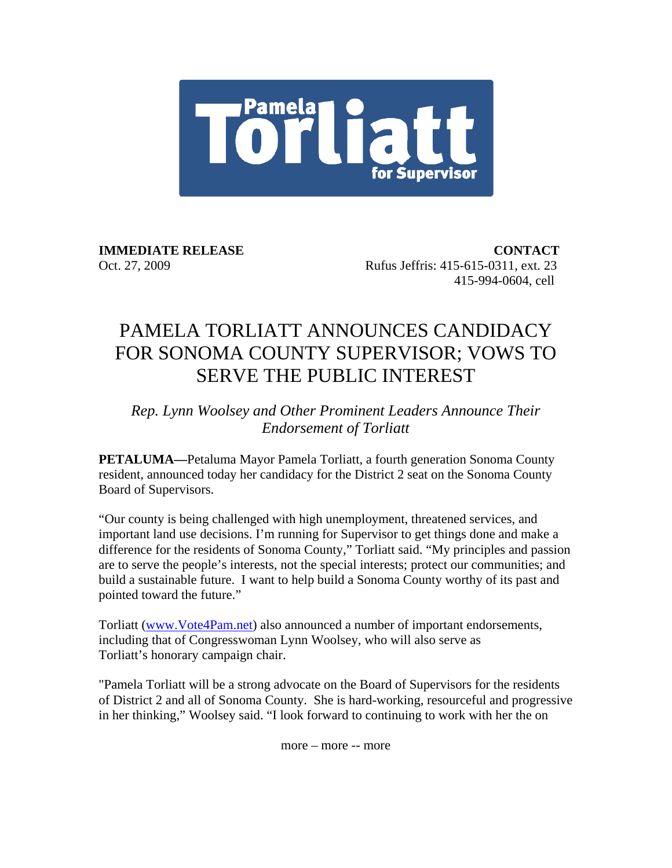

**IMMEDIATE RELEASE CONTACT**  Oct. 27, 2009 Rufus Jeffris: 415-615-0311, ext. 23 415-994-0604, cell

## PAMELA TORLIATT ANNOUNCES CANDIDACY FOR SONOMA COUNTY SUPERVISOR; VOWS TO SERVE THE PUBLIC INTEREST

## *Rep. Lynn Woolsey and Other Prominent Leaders Announce Their Endorsement of Torliatt*

**PETALUMA—**Petaluma Mayor Pamela Torliatt, a fourth generation Sonoma County resident, announced today her candidacy for the District 2 seat on the Sonoma County Board of Supervisors.

"Our county is being challenged with high unemployment, threatened services, and important land use decisions. I'm running for Supervisor to get things done and make a difference for the residents of Sonoma County," Torliatt said. "My principles and passion are to serve the people's interests, not the special interests; protect our communities; and build a sustainable future. I want to help build a Sonoma County worthy of its past and pointed toward the future."

Torliatt (www.Vote4Pam.net) also announced a number of important endorsements, including that of Congresswoman Lynn Woolsey, who will also serve as Torliatt's honorary campaign chair.

"Pamela Torliatt will be a strong advocate on the Board of Supervisors for the residents of District 2 and all of Sonoma County. She is hard-working, resourceful and progressive in her thinking," Woolsey said. "I look forward to continuing to work with her the on

more – more -- more